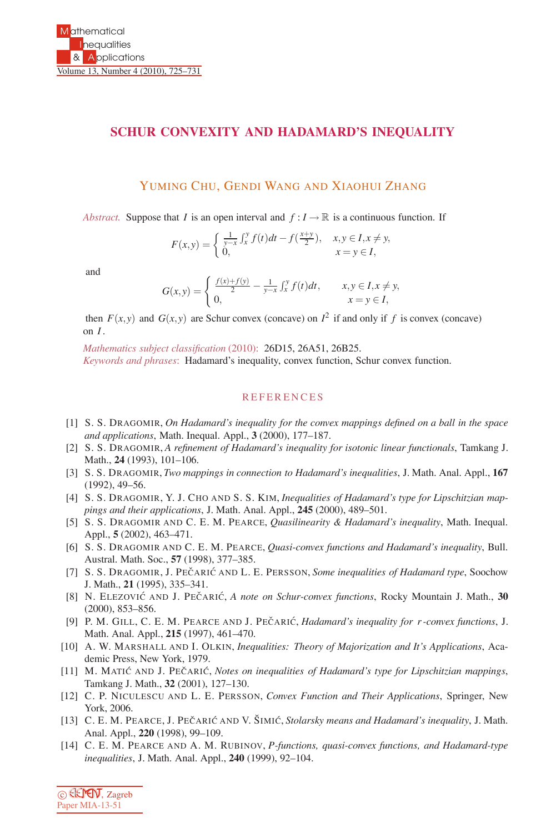## **SCHUR CONVEXITY AND HADAMARD'S INEQUALITY**

## YUMING CHU, GENDI WANG AND XIAOHUI ZHANG

*Abstract.* Suppose that *I* is an open interval and  $f: I \to \mathbb{R}$  is a continuous function. If

$$
F(x,y) = \begin{cases} \frac{1}{y-x} \int_x^y f(t)dt - f(\frac{x+y}{2}), & x, y \in I, x \neq y, \\ 0, & x = y \in I, \end{cases}
$$

and

$$
G(x,y) = \begin{cases} \frac{f(x) + f(y)}{2} - \frac{1}{y-x} \int_x^y f(t) dt, & x, y \in I, x \neq y, \\ 0, & x = y \in I, \end{cases}
$$

then  $F(x, y)$  and  $G(x, y)$  are Schur convex (concave) on  $I^2$  if and only if f is convex (concave) on *I* .

*Mathematics subject classification* (2010): 26D15, 26A51, 26B25. *Keywords and phrases*: Hadamard's inequality, convex function, Schur convex function.

## **REFERENCES**

- [1] S. S. DRAGOMIR, *On Hadamard's inequality for the convex mappings defined on a ball in the space and applications*, Math. Inequal. Appl., **3** (2000), 177–187.
- [2] S. S. DRAGOMIR, *A refinement of Hadamard's inequality for isotonic linear functionals*, Tamkang J. Math., **24** (1993), 101–106.
- [3] S. S. DRAGOMIR, *Two mappings in connection to Hadamard's inequalities*, J. Math. Anal. Appl., **167** (1992), 49–56.
- [4] S. S. DRAGOMIR, Y. J. CHO AND S. S. KIM, *Inequalities of Hadamard's type for Lipschitzian mappings and their applications*, J. Math. Anal. Appl., **245** (2000), 489–501.
- [5] S. S. DRAGOMIR AND C. E. M. PEARCE, *Quasilinearity & Hadamard's inequality*, Math. Inequal. Appl., **5** (2002), 463–471.
- [6] S. S. DRAGOMIR AND C. E. M. PEARCE, *Quasi-convex functions and Hadamard's inequality*, Bull. Austral. Math. Soc., **57** (1998), 377–385.
- [7] S. S. DRAGOMIR, J. PEČARIĆ AND L. E. PERSSON, *Some inequalities of Hadamard type*, Soochow J. Math., **21** (1995), 335–341.
- [8] N. ELEZOVIĆ AND J. PEČARIĆ, *A note on Schur-convex functions*, Rocky Mountain J. Math., 30 (2000), 853–856.
- [9] P. M. GILL, C. E. M. PEARCE AND J. PECARIC, *Hadamard's inequality for r-convex functions*, J. Math. Anal. Appl., **215** (1997), 461–470.
- [10] A. W. MARSHALL AND I. OLKIN, *Inequalities: Theory of Majorization and It's Applications*, Academic Press, New York, 1979.
- [11] M. MATIC AND J. PECARIC, *Notes on inequalities of Hadamard's type for Lipschitzian mappings*, Tamkang J. Math., **32** (2001), 127–130.
- [12] C. P. NICULESCU AND L. E. PERSSON, *Convex Function and Their Applications*, Springer, New York, 2006.
- [13] C. E. M. PEARCE, J. PEČARIĆ AND V. ŠIMIĆ, *Stolarsky means and Hadamard's inequality*, J. Math. Anal. Appl., **220** (1998), 99–109.
- [14] C. E. M. PEARCE AND A. M. RUBINOV, *P-functions, quasi-convex functions, and Hadamard-type inequalities*, J. Math. Anal. Appl., **240** (1999), 92–104.